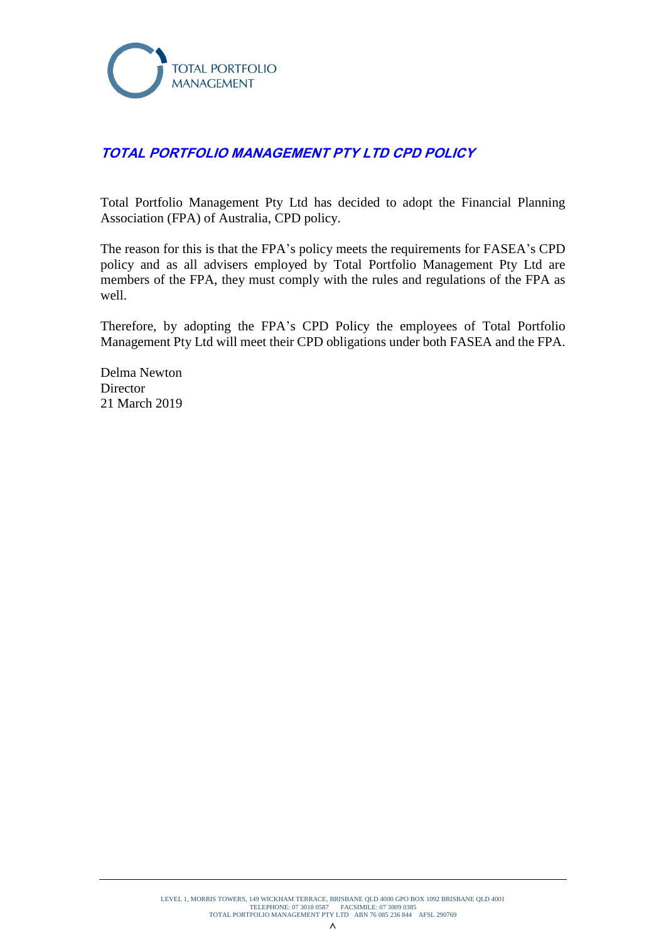

# **TOTAL PORTFOLIO MANAGEMENT PTY LTD CPD POLICY**

Total Portfolio Management Pty Ltd has decided to adopt the Financial Planning Association (FPA) of Australia, CPD policy.

The reason for this is that the FPA's policy meets the requirements for FASEA's CPD policy and as all advisers employed by Total Portfolio Management Pty Ltd are members of the FPA, they must comply with the rules and regulations of the FPA as well.

Therefore, by adopting the FPA's CPD Policy the employees of Total Portfolio Management Pty Ltd will meet their CPD obligations under both FASEA and the FPA.

Delma Newton Director 21 March 2019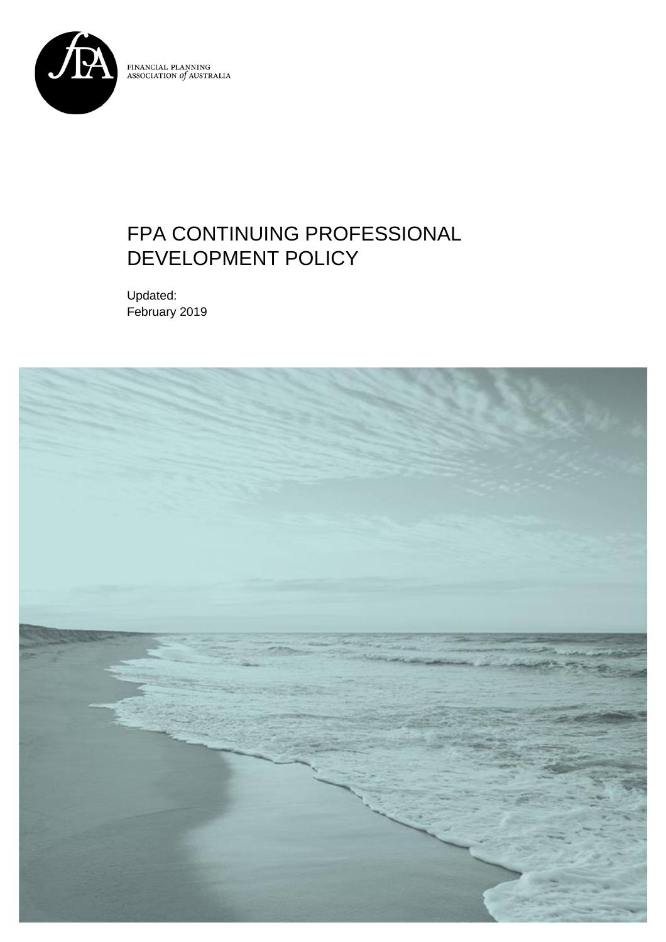

FINANCIAL PLANNING<br>ASSOCIATION *of* AUSTRALIA

# FPA CONTINUING PROFESSIONAL DEVELOPMENT POLICY

Updated: February 2019

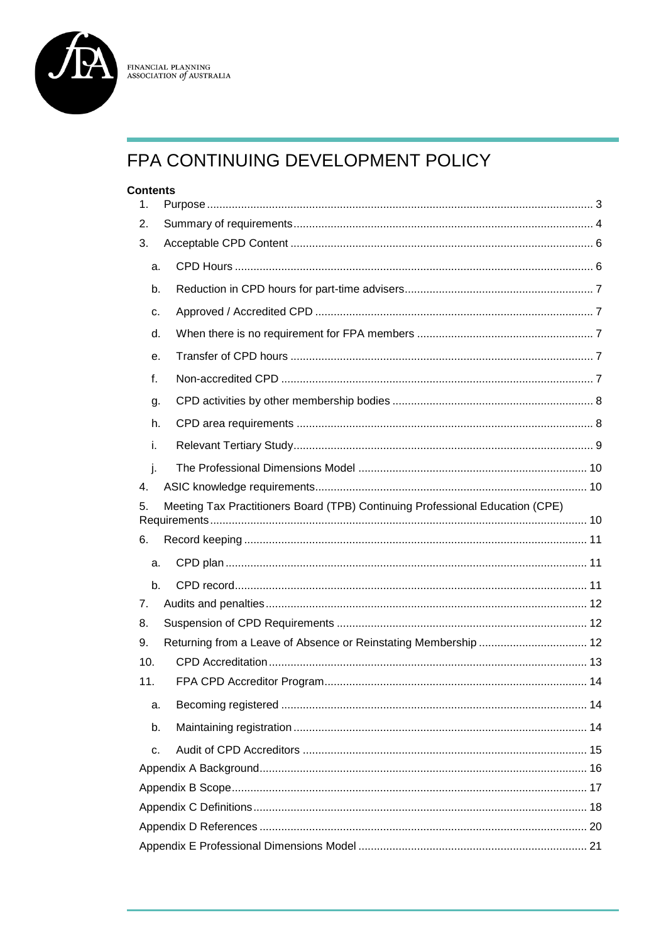

# $\begin{array}{ll} {\rm FINANCIAL\ PLANNING} \\ {\rm ASSOCIATION\ of\ AUSTRALIA} \end{array}$

# FPA CONTINUING DEVELOPMENT POLICY

#### **Contents**

| 1.  |                                                                               |  |
|-----|-------------------------------------------------------------------------------|--|
| 2.  |                                                                               |  |
| 3.  |                                                                               |  |
| a.  |                                                                               |  |
| b.  |                                                                               |  |
| c.  |                                                                               |  |
| d.  |                                                                               |  |
| е.  |                                                                               |  |
| f.  |                                                                               |  |
| g.  |                                                                               |  |
| h.  |                                                                               |  |
| İ.  |                                                                               |  |
| j.  |                                                                               |  |
| 4.  |                                                                               |  |
| 5.  | Meeting Tax Practitioners Board (TPB) Continuing Professional Education (CPE) |  |
|     |                                                                               |  |
|     |                                                                               |  |
| 6.  |                                                                               |  |
| a.  |                                                                               |  |
| b.  |                                                                               |  |
| 7.  |                                                                               |  |
| 8.  |                                                                               |  |
| 9.  | Returning from a Leave of Absence or Reinstating Membership  12               |  |
| 10. |                                                                               |  |
| 11. |                                                                               |  |
| a.  |                                                                               |  |
| b.  |                                                                               |  |
| C.  |                                                                               |  |
|     |                                                                               |  |
|     |                                                                               |  |
|     |                                                                               |  |
|     |                                                                               |  |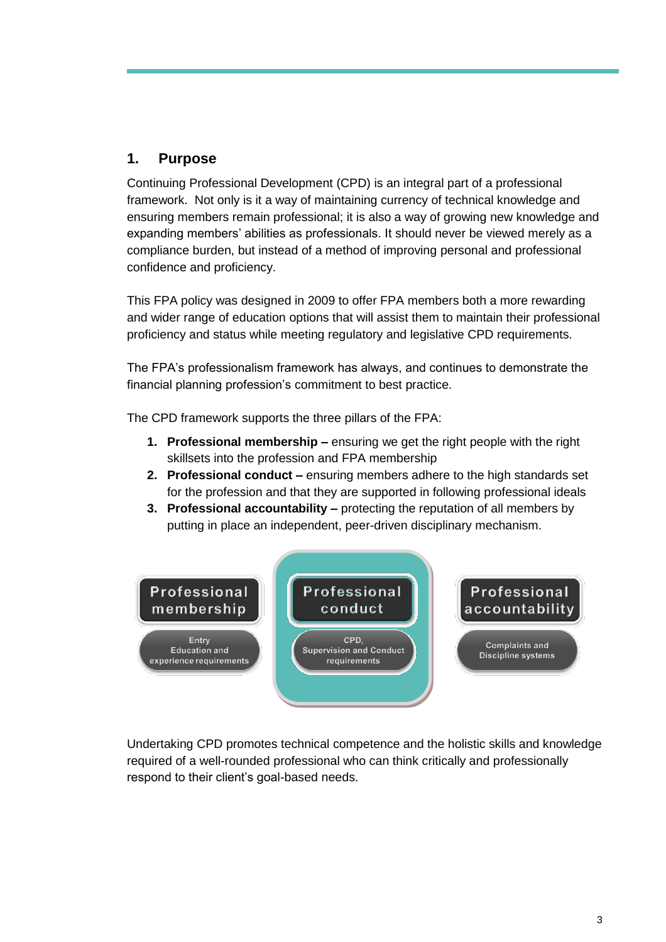# <span id="page-3-0"></span>**1. Purpose**

Continuing Professional Development (CPD) is an integral part of a professional framework. Not only is it a way of maintaining currency of technical knowledge and ensuring members remain professional; it is also a way of growing new knowledge and expanding members' abilities as professionals. It should never be viewed merely as a compliance burden, but instead of a method of improving personal and professional confidence and proficiency.

This FPA policy was designed in 2009 to offer FPA members both a more rewarding and wider range of education options that will assist them to maintain their professional proficiency and status while meeting regulatory and legislative CPD requirements.

The FPA's professionalism framework has always, and continues to demonstrate the financial planning profession's commitment to best practice.

The CPD framework supports the three pillars of the FPA:

- **1. Professional membership –** ensuring we get the right people with the right skillsets into the profession and FPA membership
- **2. Professional conduct –** ensuring members adhere to the high standards set for the profession and that they are supported in following professional ideals
- **3. Professional accountability –** protecting the reputation of all members by putting in place an independent, peer-driven disciplinary mechanism.



Undertaking CPD promotes technical competence and the holistic skills and knowledge required of a well-rounded professional who can think critically and professionally respond to their client's goal-based needs.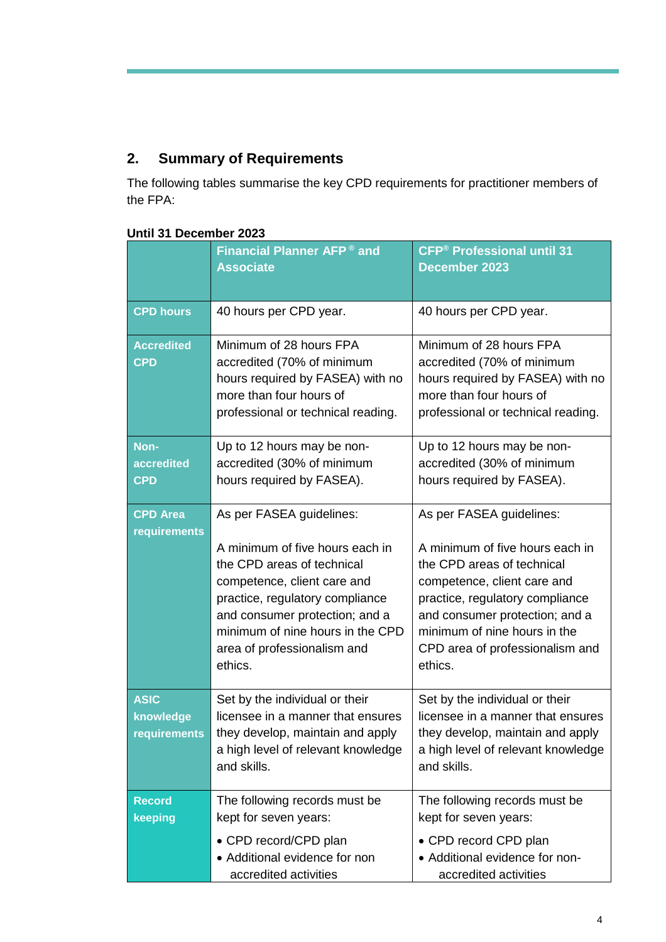# <span id="page-4-0"></span>**2. Summary of Requirements**

The following tables summarise the key CPD requirements for practitioner members of the FPA:

|                                          | <b>Financial Planner AFP<sup>®</sup> and</b><br><b>Associate</b>                                                                                                                                                                                                            | <b>CFP<sup>®</sup> Professional until 31</b><br><b>December 2023</b>                                                                                                                                                                                                        |
|------------------------------------------|-----------------------------------------------------------------------------------------------------------------------------------------------------------------------------------------------------------------------------------------------------------------------------|-----------------------------------------------------------------------------------------------------------------------------------------------------------------------------------------------------------------------------------------------------------------------------|
| <b>CPD hours</b>                         | 40 hours per CPD year.                                                                                                                                                                                                                                                      | 40 hours per CPD year.                                                                                                                                                                                                                                                      |
| <b>Accredited</b><br><b>CPD</b>          | Minimum of 28 hours FPA<br>accredited (70% of minimum<br>hours required by FASEA) with no<br>more than four hours of<br>professional or technical reading.                                                                                                                  | Minimum of 28 hours FPA<br>accredited (70% of minimum<br>hours required by FASEA) with no<br>more than four hours of<br>professional or technical reading.                                                                                                                  |
| Non-<br>accredited<br><b>CPD</b>         | Up to 12 hours may be non-<br>accredited (30% of minimum<br>hours required by FASEA).                                                                                                                                                                                       | Up to 12 hours may be non-<br>accredited (30% of minimum<br>hours required by FASEA).                                                                                                                                                                                       |
| <b>CPD Area</b><br>requirements          | As per FASEA guidelines:<br>A minimum of five hours each in<br>the CPD areas of technical<br>competence, client care and<br>practice, regulatory compliance<br>and consumer protection; and a<br>minimum of nine hours in the CPD<br>area of professionalism and<br>ethics. | As per FASEA guidelines:<br>A minimum of five hours each in<br>the CPD areas of technical<br>competence, client care and<br>practice, regulatory compliance<br>and consumer protection; and a<br>minimum of nine hours in the<br>CPD area of professionalism and<br>ethics. |
| <b>ASIC</b><br>knowledge<br>requirements | Set by the individual or their<br>licensee in a manner that ensures<br>they develop, maintain and apply<br>a high level of relevant knowledge<br>and skills.                                                                                                                | Set by the individual or their<br>licensee in a manner that ensures<br>they develop, maintain and apply<br>a high level of relevant knowledge<br>and skills.                                                                                                                |
| <b>Record</b><br>keeping                 | The following records must be<br>kept for seven years:<br>• CPD record/CPD plan<br>• Additional evidence for non<br>accredited activities                                                                                                                                   | The following records must be<br>kept for seven years:<br>• CPD record CPD plan<br>• Additional evidence for non-<br>accredited activities                                                                                                                                  |

### **Until 31 December 2023**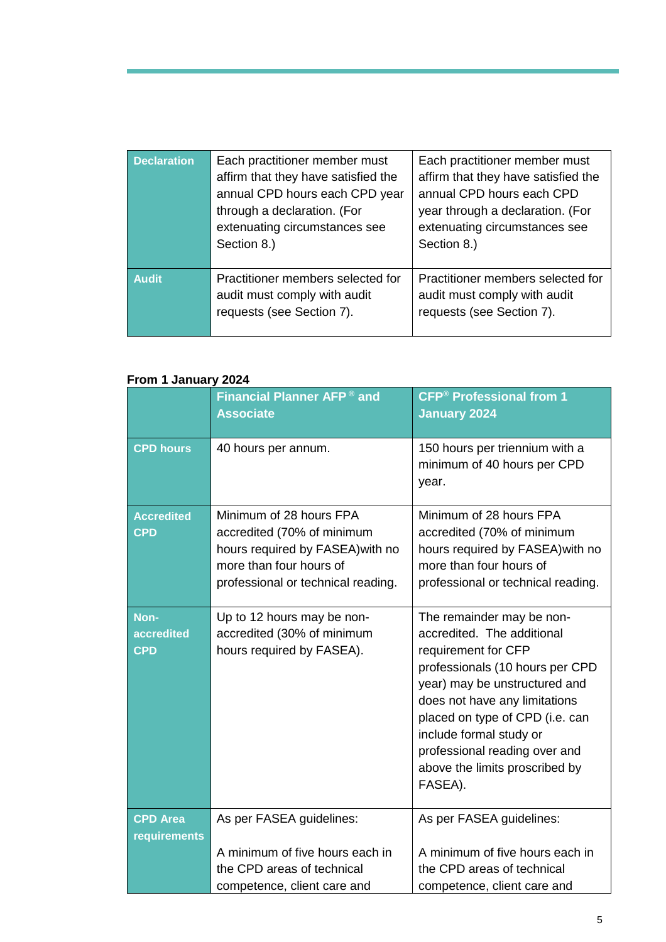| <b>Declaration</b> | Each practitioner member must<br>affirm that they have satisfied the<br>annual CPD hours each CPD year<br>through a declaration. (For<br>extenuating circumstances see | Each practitioner member must<br>affirm that they have satisfied the<br>annual CPD hours each CPD<br>year through a declaration. (For<br>extenuating circumstances see |
|--------------------|------------------------------------------------------------------------------------------------------------------------------------------------------------------------|------------------------------------------------------------------------------------------------------------------------------------------------------------------------|
|                    | Section 8.)                                                                                                                                                            | Section 8.)                                                                                                                                                            |
| <b>Audit</b>       | Practitioner members selected for<br>audit must comply with audit<br>requests (see Section 7).                                                                         | Practitioner members selected for<br>audit must comply with audit<br>requests (see Section 7).                                                                         |

### **From 1 January 2024**

| <b>IVIII I VANUALY LULT</b>      |                                                                                                                                                            |                                                                                                                                                                                                                                                                                                                                 |  |  |
|----------------------------------|------------------------------------------------------------------------------------------------------------------------------------------------------------|---------------------------------------------------------------------------------------------------------------------------------------------------------------------------------------------------------------------------------------------------------------------------------------------------------------------------------|--|--|
|                                  | Financial Planner AFP <sup>®</sup> and<br><b>Associate</b>                                                                                                 | <b>CFP<sup>®</sup> Professional from 1</b><br><b>January 2024</b>                                                                                                                                                                                                                                                               |  |  |
| <b>CPD hours</b>                 | 40 hours per annum.                                                                                                                                        | 150 hours per triennium with a<br>minimum of 40 hours per CPD<br>year.                                                                                                                                                                                                                                                          |  |  |
| <b>Accredited</b><br><b>CPD</b>  | Minimum of 28 hours FPA<br>accredited (70% of minimum<br>hours required by FASEA) with no<br>more than four hours of<br>professional or technical reading. | Minimum of 28 hours FPA<br>accredited (70% of minimum<br>hours required by FASEA) with no<br>more than four hours of<br>professional or technical reading.                                                                                                                                                                      |  |  |
| Non-<br>accredited<br><b>CPD</b> | Up to 12 hours may be non-<br>accredited (30% of minimum<br>hours required by FASEA).                                                                      | The remainder may be non-<br>accredited. The additional<br>requirement for CFP<br>professionals (10 hours per CPD<br>year) may be unstructured and<br>does not have any limitations<br>placed on type of CPD (i.e. can<br>include formal study or<br>professional reading over and<br>above the limits proscribed by<br>FASEA). |  |  |
| <b>CPD Area</b><br>requirements  | As per FASEA guidelines:                                                                                                                                   | As per FASEA guidelines:                                                                                                                                                                                                                                                                                                        |  |  |
|                                  | A minimum of five hours each in<br>the CPD areas of technical<br>competence, client care and                                                               | A minimum of five hours each in<br>the CPD areas of technical<br>competence, client care and                                                                                                                                                                                                                                    |  |  |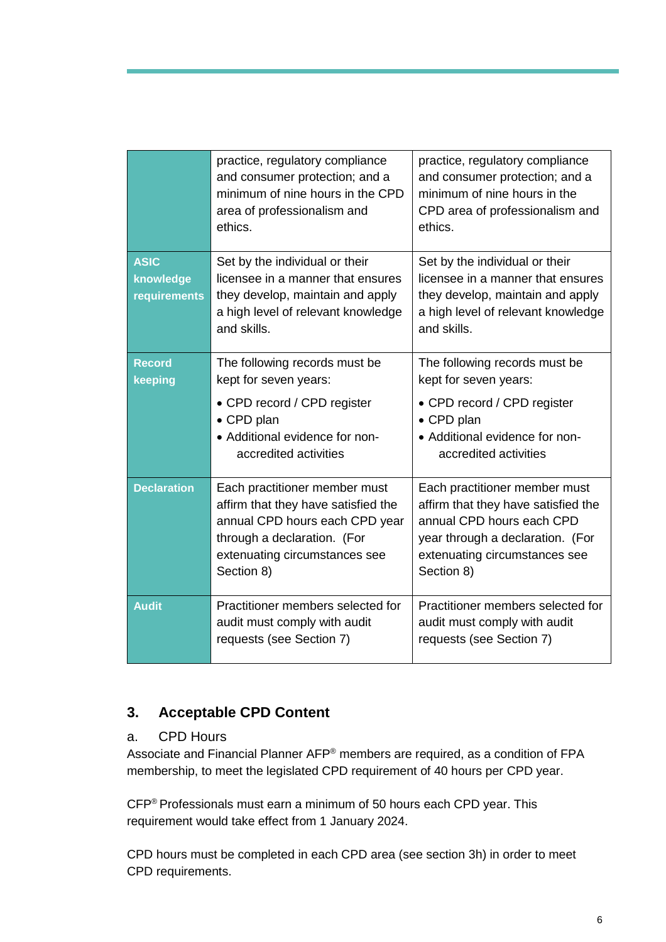|                                          | practice, regulatory compliance<br>and consumer protection; and a<br>minimum of nine hours in the CPD<br>area of professionalism and<br>ethics.                                      | practice, regulatory compliance<br>and consumer protection; and a<br>minimum of nine hours in the<br>CPD area of professionalism and<br>ethics.                                      |
|------------------------------------------|--------------------------------------------------------------------------------------------------------------------------------------------------------------------------------------|--------------------------------------------------------------------------------------------------------------------------------------------------------------------------------------|
| <b>ASIC</b><br>knowledge<br>requirements | Set by the individual or their<br>licensee in a manner that ensures<br>they develop, maintain and apply<br>a high level of relevant knowledge<br>and skills.                         | Set by the individual or their<br>licensee in a manner that ensures<br>they develop, maintain and apply<br>a high level of relevant knowledge<br>and skills.                         |
| <b>Record</b><br>keeping                 | The following records must be<br>kept for seven years:<br>• CPD record / CPD register<br>• CPD plan<br>• Additional evidence for non-<br>accredited activities                       | The following records must be<br>kept for seven years:<br>• CPD record / CPD register<br>• CPD plan<br>• Additional evidence for non-<br>accredited activities                       |
| <b>Declaration</b>                       | Each practitioner member must<br>affirm that they have satisfied the<br>annual CPD hours each CPD year<br>through a declaration. (For<br>extenuating circumstances see<br>Section 8) | Each practitioner member must<br>affirm that they have satisfied the<br>annual CPD hours each CPD<br>year through a declaration. (For<br>extenuating circumstances see<br>Section 8) |
| <b>Audit</b>                             | Practitioner members selected for<br>audit must comply with audit<br>requests (see Section 7)                                                                                        | Practitioner members selected for<br>audit must comply with audit<br>requests (see Section 7)                                                                                        |

# <span id="page-6-0"></span>**3. Acceptable CPD Content**

### <span id="page-6-1"></span>a. CPD Hours

Associate and Financial Planner AFP® members are required, as a condition of FPA membership, to meet the legislated CPD requirement of 40 hours per CPD year.

CFP® Professionals must earn a minimum of 50 hours each CPD year. This requirement would take effect from 1 January 2024.

CPD hours must be completed in each CPD area (see section 3h) in order to meet CPD requirements.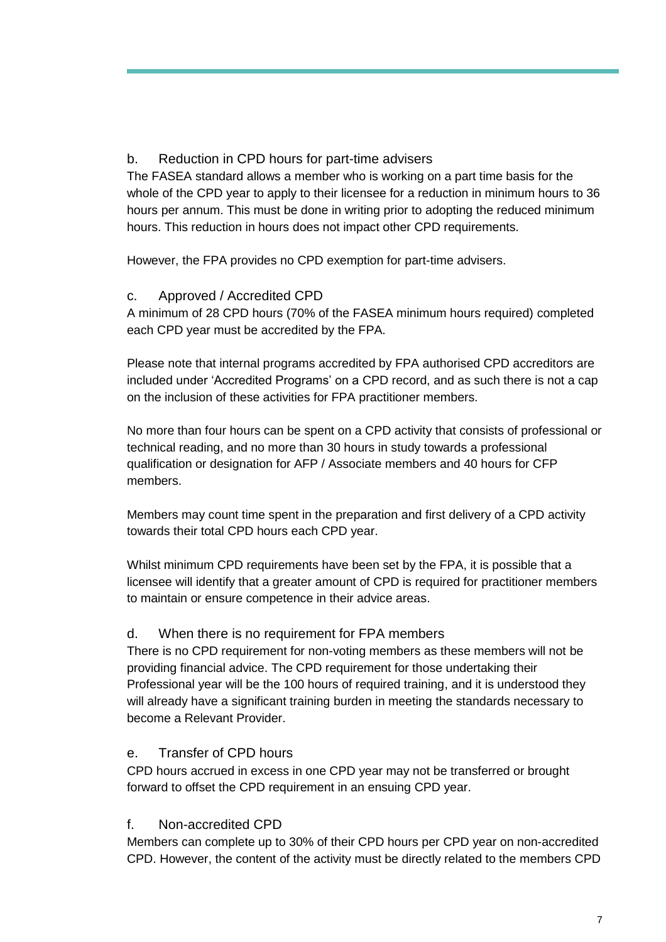## <span id="page-7-0"></span>b. Reduction in CPD hours for part-time advisers

The FASEA standard allows a member who is working on a part time basis for the whole of the CPD year to apply to their licensee for a reduction in minimum hours to 36 hours per annum. This must be done in writing prior to adopting the reduced minimum hours. This reduction in hours does not impact other CPD requirements.

However, the FPA provides no CPD exemption for part-time advisers.

### <span id="page-7-1"></span>c. Approved / Accredited CPD

A minimum of 28 CPD hours (70% of the FASEA minimum hours required) completed each CPD year must be accredited by the FPA.

Please note that internal programs accredited by FPA authorised CPD accreditors are included under 'Accredited Programs' on a CPD record, and as such there is not a cap on the inclusion of these activities for FPA practitioner members.

No more than four hours can be spent on a CPD activity that consists of professional or technical reading, and no more than 30 hours in study towards a professional qualification or designation for AFP / Associate members and 40 hours for CFP members.

Members may count time spent in the preparation and first delivery of a CPD activity towards their total CPD hours each CPD year.

Whilst minimum CPD requirements have been set by the FPA, it is possible that a licensee will identify that a greater amount of CPD is required for practitioner members to maintain or ensure competence in their advice areas.

### <span id="page-7-2"></span>d. When there is no requirement for FPA members

There is no CPD requirement for non-voting members as these members will not be providing financial advice. The CPD requirement for those undertaking their Professional year will be the 100 hours of required training, and it is understood they will already have a significant training burden in meeting the standards necessary to become a Relevant Provider.

### <span id="page-7-3"></span>e. Transfer of CPD hours

CPD hours accrued in excess in one CPD year may not be transferred or brought forward to offset the CPD requirement in an ensuing CPD year.

### <span id="page-7-4"></span>f. Non-accredited CPD

Members can complete up to 30% of their CPD hours per CPD year on non-accredited CPD. However, the content of the activity must be directly related to the members CPD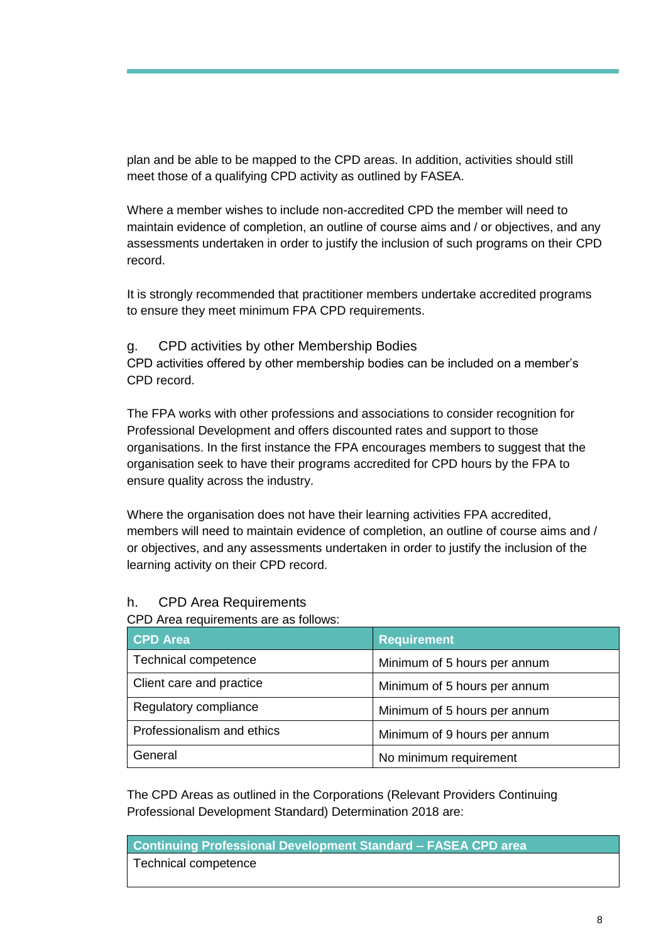plan and be able to be mapped to the CPD areas. In addition, activities should still meet those of a qualifying CPD activity as outlined by FASEA.

Where a member wishes to include non-accredited CPD the member will need to maintain evidence of completion, an outline of course aims and / or objectives, and any assessments undertaken in order to justify the inclusion of such programs on their CPD record.

It is strongly recommended that practitioner members undertake accredited programs to ensure they meet minimum FPA CPD requirements.

#### <span id="page-8-0"></span>g. CPD activities by other Membership Bodies

CPD activities offered by other membership bodies can be included on a member's CPD record.

The FPA works with other professions and associations to consider recognition for Professional Development and offers discounted rates and support to those organisations. In the first instance the FPA encourages members to suggest that the organisation seek to have their programs accredited for CPD hours by the FPA to ensure quality across the industry.

Where the organisation does not have their learning activities FPA accredited, members will need to maintain evidence of completion, an outline of course aims and / or objectives, and any assessments undertaken in order to justify the inclusion of the learning activity on their CPD record.

### <span id="page-8-1"></span>h. CPD Area Requirements

#### CPD Area requirements are as follows:

| <b>CPD Area</b>             | <b>Requirement</b>           |  |
|-----------------------------|------------------------------|--|
| <b>Technical competence</b> | Minimum of 5 hours per annum |  |
| Client care and practice    | Minimum of 5 hours per annum |  |
| Regulatory compliance       | Minimum of 5 hours per annum |  |
| Professionalism and ethics  | Minimum of 9 hours per annum |  |
| General                     | No minimum requirement       |  |

The CPD Areas as outlined in the Corporations (Relevant Providers Continuing Professional Development Standard) Determination 2018 are:

#### **Continuing Professional Development Standard – FASEA CPD area** Technical competence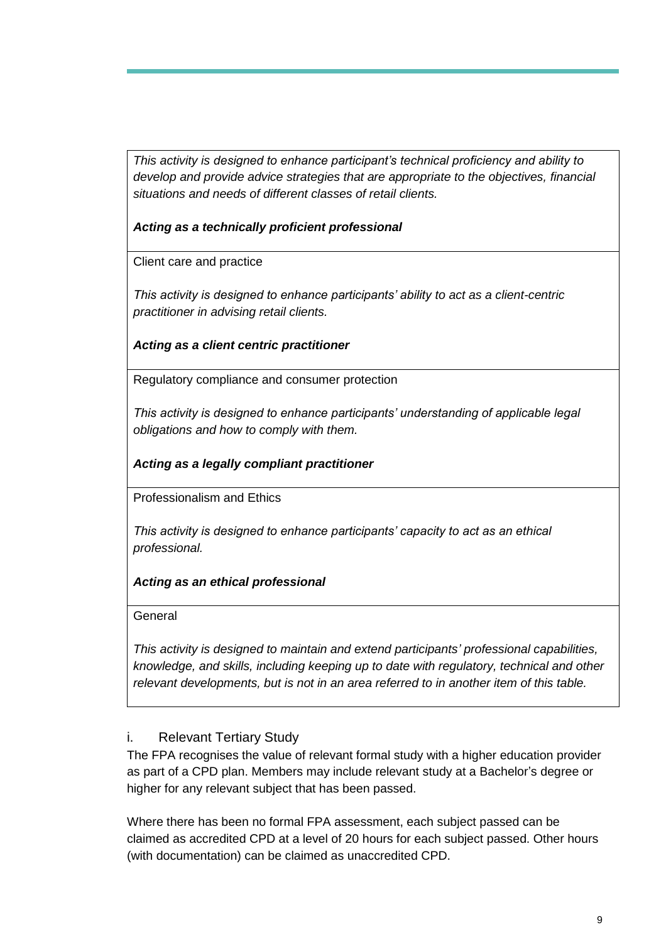*This activity is designed to enhance participant's technical proficiency and ability to develop and provide advice strategies that are appropriate to the objectives, financial situations and needs of different classes of retail clients.*

*Acting as a technically proficient professional*

Client care and practice

*This activity is designed to enhance participants' ability to act as a client-centric practitioner in advising retail clients.*

*Acting as a client centric practitioner*

Regulatory compliance and consumer protection

*This activity is designed to enhance participants' understanding of applicable legal obligations and how to comply with them.*

## *Acting as a legally compliant practitioner*

Professionalism and Ethics

*This activity is designed to enhance participants' capacity to act as an ethical professional.*

### *Acting as an ethical professional*

**General** 

*This activity is designed to maintain and extend participants' professional capabilities, knowledge, and skills, including keeping up to date with regulatory, technical and other relevant developments, but is not in an area referred to in another item of this table.*

### <span id="page-9-0"></span>i. Relevant Tertiary Study

The FPA recognises the value of relevant formal study with a higher education provider as part of a CPD plan. Members may include relevant study at a Bachelor's degree or higher for any relevant subject that has been passed.

Where there has been no formal FPA assessment, each subject passed can be claimed as accredited CPD at a level of 20 hours for each subject passed. Other hours (with documentation) can be claimed as unaccredited CPD.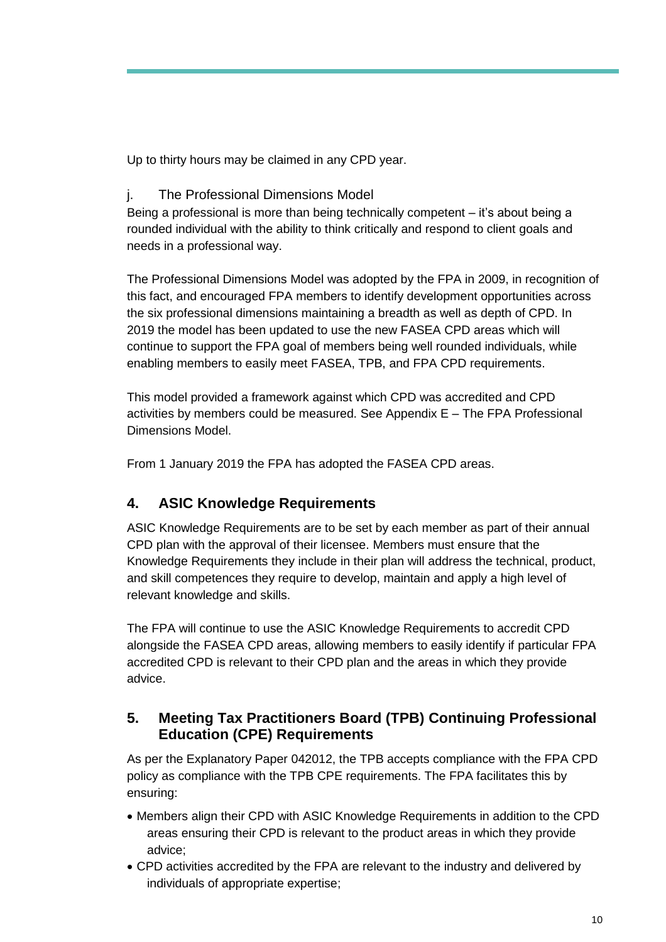Up to thirty hours may be claimed in any CPD year.

<span id="page-10-0"></span>j. The Professional Dimensions Model

Being a professional is more than being technically competent – it's about being a rounded individual with the ability to think critically and respond to client goals and needs in a professional way.

The Professional Dimensions Model was adopted by the FPA in 2009, in recognition of this fact, and encouraged FPA members to identify development opportunities across the six professional dimensions maintaining a breadth as well as depth of CPD. In 2019 the model has been updated to use the new FASEA CPD areas which will continue to support the FPA goal of members being well rounded individuals, while enabling members to easily meet FASEA, TPB, and FPA CPD requirements.

This model provided a framework against which CPD was accredited and CPD activities by members could be measured. See Appendix E – The FPA Professional Dimensions Model.

From 1 January 2019 the FPA has adopted the FASEA CPD areas.

# <span id="page-10-1"></span>**4. ASIC Knowledge Requirements**

ASIC Knowledge Requirements are to be set by each member as part of their annual CPD plan with the approval of their licensee. Members must ensure that the Knowledge Requirements they include in their plan will address the technical, product, and skill competences they require to develop, maintain and apply a high level of relevant knowledge and skills.

The FPA will continue to use the ASIC Knowledge Requirements to accredit CPD alongside the FASEA CPD areas, allowing members to easily identify if particular FPA accredited CPD is relevant to their CPD plan and the areas in which they provide advice.

# <span id="page-10-2"></span>**5. Meeting Tax Practitioners Board (TPB) Continuing Professional Education (CPE) Requirements**

As per the Explanatory Paper 042012, the TPB accepts compliance with the FPA CPD policy as compliance with the TPB CPE requirements. The FPA facilitates this by ensuring:

- Members align their CPD with ASIC Knowledge Requirements in addition to the CPD areas ensuring their CPD is relevant to the product areas in which they provide advice;
- CPD activities accredited by the FPA are relevant to the industry and delivered by individuals of appropriate expertise;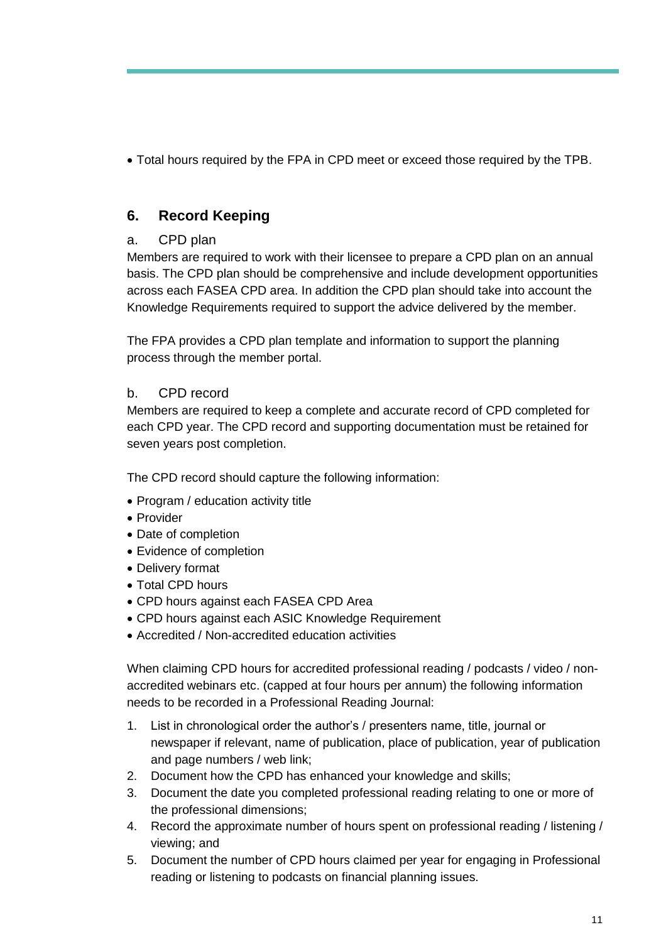Total hours required by the FPA in CPD meet or exceed those required by the TPB.

# <span id="page-11-0"></span>**6. Record Keeping**

## <span id="page-11-1"></span>a. CPD plan

Members are required to work with their licensee to prepare a CPD plan on an annual basis. The CPD plan should be comprehensive and include development opportunities across each FASEA CPD area. In addition the CPD plan should take into account the Knowledge Requirements required to support the advice delivered by the member.

The FPA provides a CPD plan template and information to support the planning process through the member portal.

### <span id="page-11-2"></span>b. CPD record

Members are required to keep a complete and accurate record of CPD completed for each CPD year. The CPD record and supporting documentation must be retained for seven years post completion.

The CPD record should capture the following information:

- Program / education activity title
- Provider
- Date of completion
- Evidence of completion
- Delivery format
- Total CPD hours
- CPD hours against each FASEA CPD Area
- CPD hours against each ASIC Knowledge Requirement
- Accredited / Non-accredited education activities

When claiming CPD hours for accredited professional reading / podcasts / video / nonaccredited webinars etc. (capped at four hours per annum) the following information needs to be recorded in a Professional Reading Journal:

- 1. List in chronological order the author's / presenters name, title, journal or newspaper if relevant, name of publication, place of publication, year of publication and page numbers / web link;
- 2. Document how the CPD has enhanced your knowledge and skills;
- 3. Document the date you completed professional reading relating to one or more of the professional dimensions;
- 4. Record the approximate number of hours spent on professional reading / listening / viewing; and
- 5. Document the number of CPD hours claimed per year for engaging in Professional reading or listening to podcasts on financial planning issues.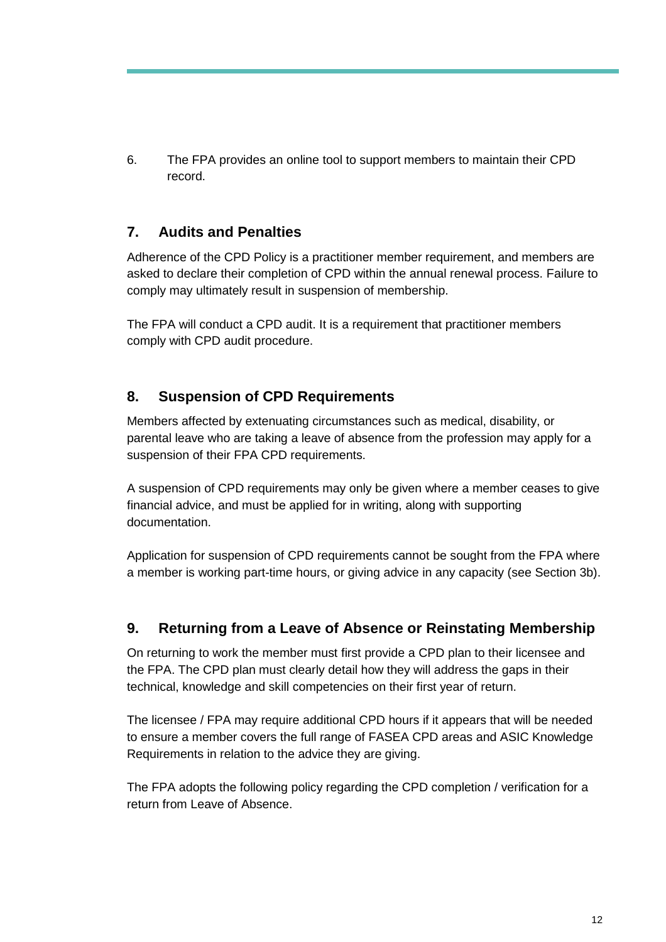6. The FPA provides an online tool to support members to maintain their CPD record.

# <span id="page-12-0"></span>**7. Audits and Penalties**

Adherence of the CPD Policy is a practitioner member requirement, and members are asked to declare their completion of CPD within the annual renewal process. Failure to comply may ultimately result in suspension of membership.

The FPA will conduct a CPD audit. It is a requirement that practitioner members comply with CPD audit procedure.

# <span id="page-12-1"></span>**8. Suspension of CPD Requirements**

Members affected by extenuating circumstances such as medical, disability, or parental leave who are taking a leave of absence from the profession may apply for a suspension of their FPA CPD requirements.

A suspension of CPD requirements may only be given where a member ceases to give financial advice, and must be applied for in writing, along with supporting documentation.

Application for suspension of CPD requirements cannot be sought from the FPA where a member is working part-time hours, or giving advice in any capacity (see Section 3b).

# <span id="page-12-2"></span>**9. Returning from a Leave of Absence or Reinstating Membership**

On returning to work the member must first provide a CPD plan to their licensee and the FPA. The CPD plan must clearly detail how they will address the gaps in their technical, knowledge and skill competencies on their first year of return.

The licensee / FPA may require additional CPD hours if it appears that will be needed to ensure a member covers the full range of FASEA CPD areas and ASIC Knowledge Requirements in relation to the advice they are giving.

The FPA adopts the following policy regarding the CPD completion / verification for a return from Leave of Absence.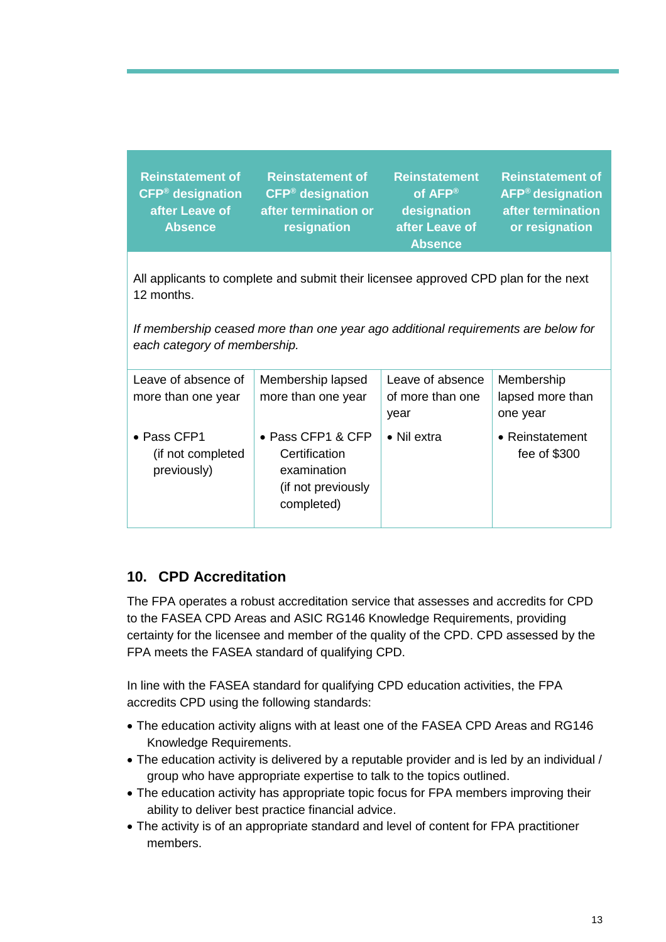| <b>Reinstatement of</b><br><b>CFP<sup>®</sup></b> designation<br>after Leave of<br><b>Absence</b> | <b>Reinstatement of</b><br><b>CFP<sup>®</sup></b> designation<br>after termination or<br>resignation | <b>Reinstatement</b><br>of AFP®<br>designation<br>after Leave of<br><b>Absence</b> | <b>Reinstatement of</b><br>AFP <sup>®</sup> designation<br>after termination<br>or resignation |
|---------------------------------------------------------------------------------------------------|------------------------------------------------------------------------------------------------------|------------------------------------------------------------------------------------|------------------------------------------------------------------------------------------------|
| All applicants to complete and submit their licensee approved CPD plan for the next<br>12 months. |                                                                                                      |                                                                                    |                                                                                                |

*If membership ceased more than one year ago additional requirements are below for each category of membership.*

| Leave of absence of<br>more than one year       | Membership lapsed<br>more than one year                                                       | Leave of absence<br>of more than one<br>year | Membership<br>lapsed more than<br>one year |
|-------------------------------------------------|-----------------------------------------------------------------------------------------------|----------------------------------------------|--------------------------------------------|
| • Pass CFP1<br>(if not completed<br>previously) | $\bullet$ Pass CFP1 & CFP<br>Certification<br>examination<br>(if not previously<br>completed) | $\bullet$ Nil extra                          | • Reinstatement<br>fee of \$300            |

# <span id="page-13-0"></span>**10. CPD Accreditation**

The FPA operates a robust accreditation service that assesses and accredits for CPD to the FASEA CPD Areas and ASIC RG146 Knowledge Requirements, providing certainty for the licensee and member of the quality of the CPD. CPD assessed by the FPA meets the FASEA standard of qualifying CPD.

In line with the FASEA standard for qualifying CPD education activities, the FPA accredits CPD using the following standards:

- The education activity aligns with at least one of the FASEA CPD Areas and RG146 Knowledge Requirements.
- The education activity is delivered by a reputable provider and is led by an individual / group who have appropriate expertise to talk to the topics outlined.
- The education activity has appropriate topic focus for FPA members improving their ability to deliver best practice financial advice.
- The activity is of an appropriate standard and level of content for FPA practitioner members.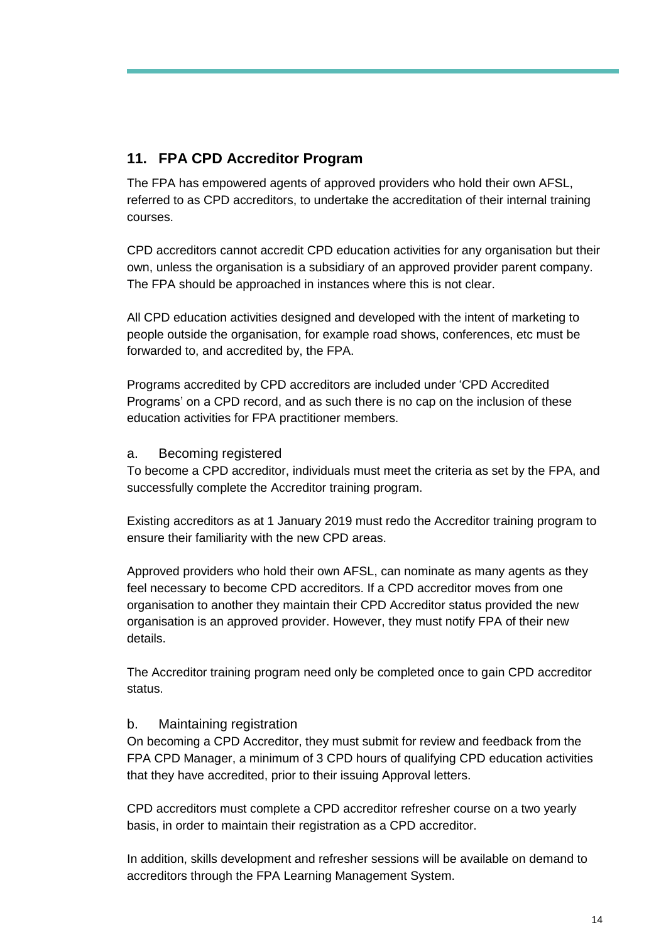## <span id="page-14-0"></span>**11. FPA CPD Accreditor Program**

The FPA has empowered agents of approved providers who hold their own AFSL, referred to as CPD accreditors, to undertake the accreditation of their internal training courses.

CPD accreditors cannot accredit CPD education activities for any organisation but their own, unless the organisation is a subsidiary of an approved provider parent company. The FPA should be approached in instances where this is not clear.

All CPD education activities designed and developed with the intent of marketing to people outside the organisation, for example road shows, conferences, etc must be forwarded to, and accredited by, the FPA.

Programs accredited by CPD accreditors are included under 'CPD Accredited Programs' on a CPD record, and as such there is no cap on the inclusion of these education activities for FPA practitioner members.

#### <span id="page-14-1"></span>a. Becoming registered

To become a CPD accreditor, individuals must meet the criteria as set by the FPA, and successfully complete the Accreditor training program.

Existing accreditors as at 1 January 2019 must redo the Accreditor training program to ensure their familiarity with the new CPD areas.

Approved providers who hold their own AFSL, can nominate as many agents as they feel necessary to become CPD accreditors. If a CPD accreditor moves from one organisation to another they maintain their CPD Accreditor status provided the new organisation is an approved provider. However, they must notify FPA of their new details.

The Accreditor training program need only be completed once to gain CPD accreditor status.

### <span id="page-14-2"></span>b. Maintaining registration

On becoming a CPD Accreditor, they must submit for review and feedback from the FPA CPD Manager, a minimum of 3 CPD hours of qualifying CPD education activities that they have accredited, prior to their issuing Approval letters.

CPD accreditors must complete a CPD accreditor refresher course on a two yearly basis, in order to maintain their registration as a CPD accreditor.

In addition, skills development and refresher sessions will be available on demand to accreditors through the FPA Learning Management System.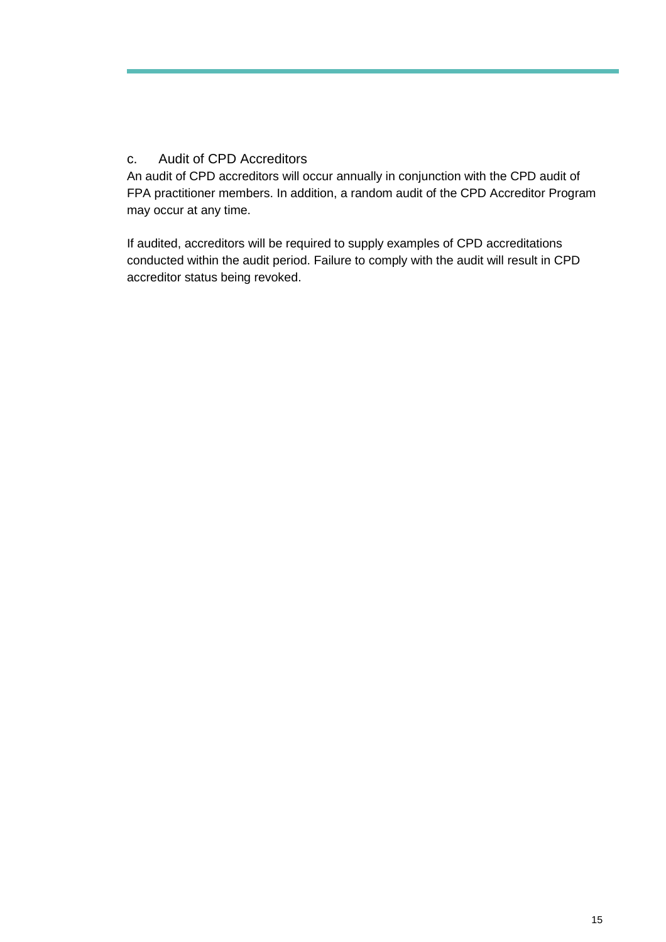### <span id="page-15-0"></span>c. Audit of CPD Accreditors

An audit of CPD accreditors will occur annually in conjunction with the CPD audit of FPA practitioner members. In addition, a random audit of the CPD Accreditor Program may occur at any time.

If audited, accreditors will be required to supply examples of CPD accreditations conducted within the audit period. Failure to comply with the audit will result in CPD accreditor status being revoked.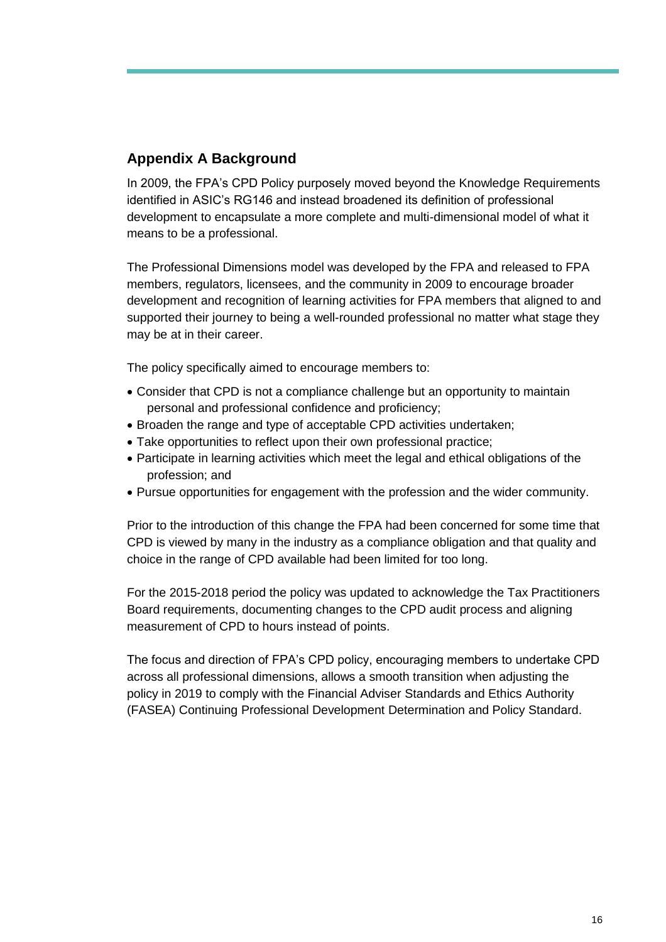# <span id="page-16-0"></span>**Appendix A Background**

In 2009, the FPA's CPD Policy purposely moved beyond the Knowledge Requirements identified in ASIC's RG146 and instead broadened its definition of professional development to encapsulate a more complete and multi-dimensional model of what it means to be a professional.

The Professional Dimensions model was developed by the FPA and released to FPA members, regulators, licensees, and the community in 2009 to encourage broader development and recognition of learning activities for FPA members that aligned to and supported their journey to being a well-rounded professional no matter what stage they may be at in their career.

The policy specifically aimed to encourage members to:

- Consider that CPD is not a compliance challenge but an opportunity to maintain personal and professional confidence and proficiency;
- Broaden the range and type of acceptable CPD activities undertaken;
- Take opportunities to reflect upon their own professional practice;
- Participate in learning activities which meet the legal and ethical obligations of the profession; and
- Pursue opportunities for engagement with the profession and the wider community.

Prior to the introduction of this change the FPA had been concerned for some time that CPD is viewed by many in the industry as a compliance obligation and that quality and choice in the range of CPD available had been limited for too long.

For the 2015-2018 period the policy was updated to acknowledge the Tax Practitioners Board requirements, documenting changes to the CPD audit process and aligning measurement of CPD to hours instead of points.

The focus and direction of FPA's CPD policy, encouraging members to undertake CPD across all professional dimensions, allows a smooth transition when adjusting the policy in 2019 to comply with the Financial Adviser Standards and Ethics Authority (FASEA) Continuing Professional Development Determination and Policy Standard.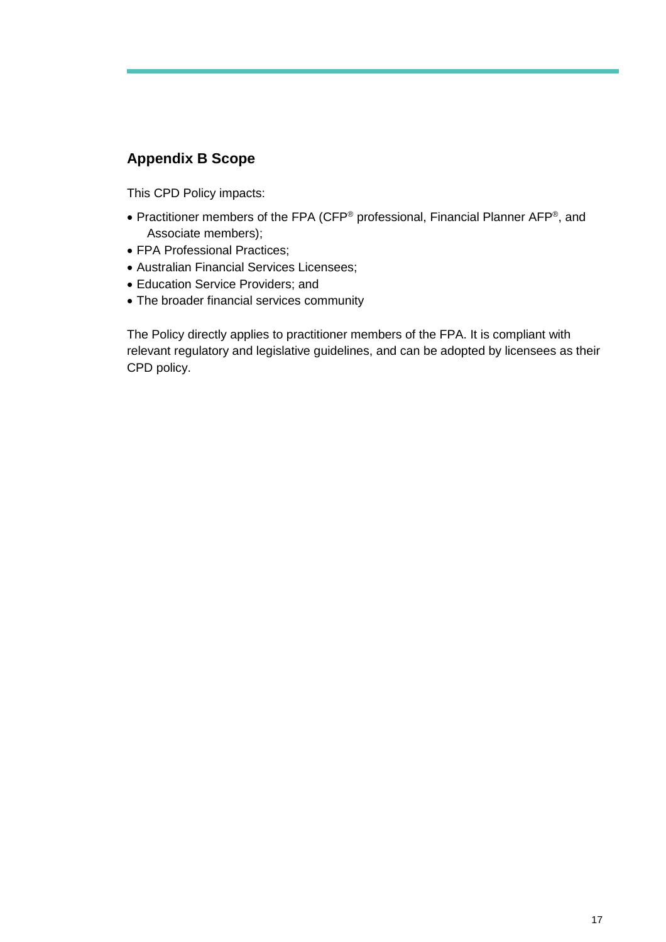# <span id="page-17-0"></span>**Appendix B Scope**

This CPD Policy impacts:

- Practitioner members of the FPA (CFP<sup>®</sup> professional, Financial Planner AFP<sup>®</sup>, and Associate members);
- FPA Professional Practices;
- Australian Financial Services Licensees;
- Education Service Providers; and
- The broader financial services community

The Policy directly applies to practitioner members of the FPA. It is compliant with relevant regulatory and legislative guidelines, and can be adopted by licensees as their CPD policy.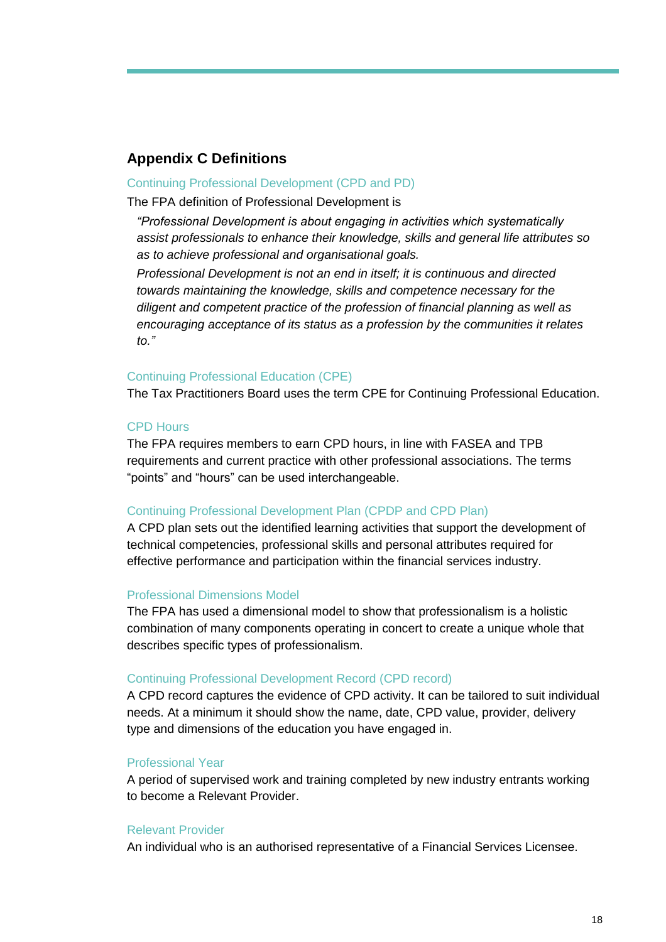### <span id="page-18-0"></span>**Appendix C Definitions**

#### Continuing Professional Development (CPD and PD)

The FPA definition of Professional Development is

*"Professional Development is about engaging in activities which systematically assist professionals to enhance their knowledge, skills and general life attributes so as to achieve professional and organisational goals.*

*Professional Development is not an end in itself; it is continuous and directed towards maintaining the knowledge, skills and competence necessary for the diligent and competent practice of the profession of financial planning as well as encouraging acceptance of its status as a profession by the communities it relates to."* 

#### Continuing Professional Education (CPE)

The Tax Practitioners Board uses the term CPE for Continuing Professional Education.

#### CPD Hours

The FPA requires members to earn CPD hours, in line with FASEA and TPB requirements and current practice with other professional associations. The terms "points" and "hours" can be used interchangeable.

#### Continuing Professional Development Plan (CPDP and CPD Plan)

A CPD plan sets out the identified learning activities that support the development of technical competencies, professional skills and personal attributes required for effective performance and participation within the financial services industry.

#### Professional Dimensions Model

The FPA has used a dimensional model to show that professionalism is a holistic combination of many components operating in concert to create a unique whole that describes specific types of professionalism.

#### Continuing Professional Development Record (CPD record)

A CPD record captures the evidence of CPD activity. It can be tailored to suit individual needs. At a minimum it should show the name, date, CPD value, provider, delivery type and dimensions of the education you have engaged in.

#### Professional Year

A period of supervised work and training completed by new industry entrants working to become a Relevant Provider.

#### Relevant Provider

An individual who is an authorised representative of a Financial Services Licensee.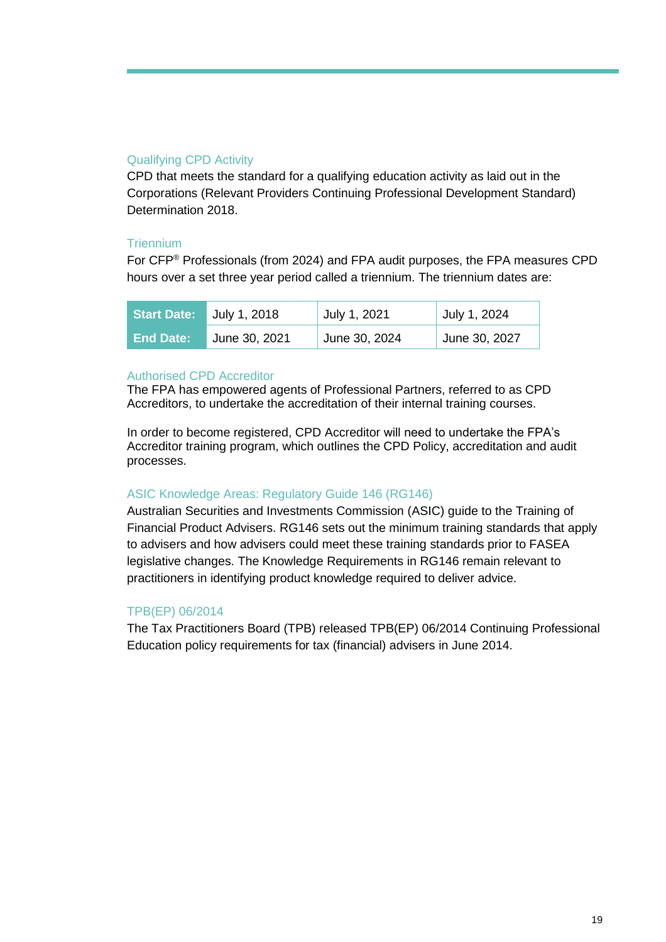#### Qualifying CPD Activity

CPD that meets the standard for a qualifying education activity as laid out in the Corporations (Relevant Providers Continuing Professional Development Standard) Determination 2018.

#### **Triennium**

For CFP® Professionals (from 2024) and FPA audit purposes, the FPA measures CPD hours over a set three year period called a triennium. The triennium dates are:

| <b>Start Date:</b> | July 1, 2018  | July 1, 2021               | July 1, 2024  |
|--------------------|---------------|----------------------------|---------------|
| <b>End Date:</b>   | June 30, 2021 | <sup>⊢</sup> June 30, 2024 | June 30, 2027 |

#### Authorised CPD Accreditor

The FPA has empowered agents of Professional Partners, referred to as CPD Accreditors, to undertake the accreditation of their internal training courses.

In order to become registered, CPD Accreditor will need to undertake the FPA's Accreditor training program, which outlines the CPD Policy, accreditation and audit processes.

### ASIC Knowledge Areas: Regulatory Guide 146 (RG146)

Australian Securities and Investments Commission (ASIC) guide to the Training of Financial Product Advisers. RG146 sets out the minimum training standards that apply to advisers and how advisers could meet these training standards prior to FASEA legislative changes. The Knowledge Requirements in RG146 remain relevant to practitioners in identifying product knowledge required to deliver advice.

### TPB(EP) 06/2014

The Tax Practitioners Board (TPB) released TPB(EP) 06/2014 Continuing Professional Education policy requirements for tax (financial) advisers in June 2014.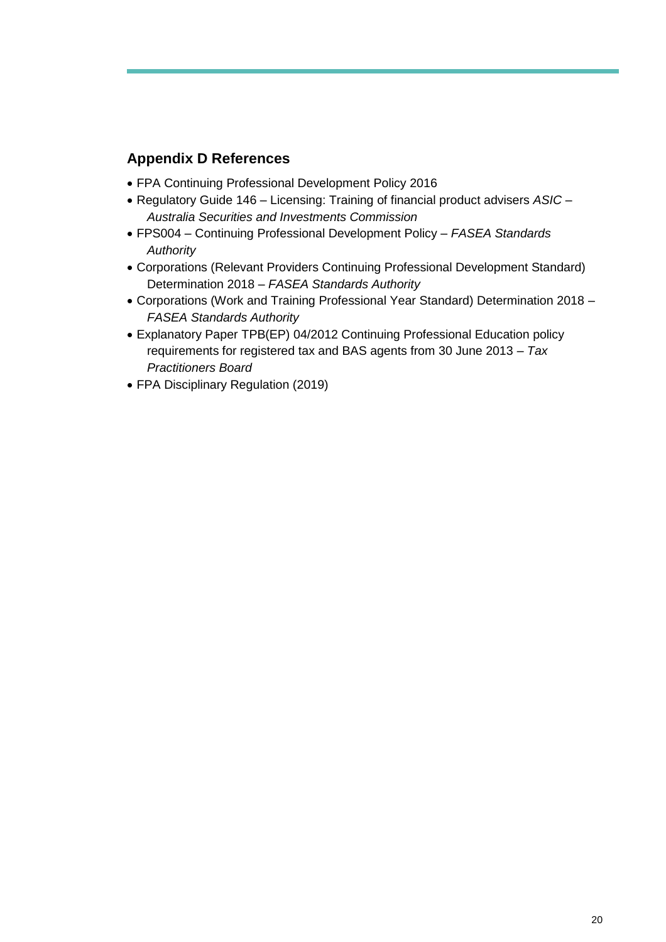## <span id="page-20-0"></span>**Appendix D References**

- FPA Continuing Professional Development Policy 2016
- Regulatory Guide 146 Licensing: Training of financial product advisers *ASIC – Australia Securities and Investments Commission*
- FPS004 Continuing Professional Development Policy *FASEA Standards Authority*
- Corporations (Relevant Providers Continuing Professional Development Standard) Determination 2018 *– FASEA Standards Authority*
- Corporations (Work and Training Professional Year Standard) Determination 2018 *FASEA Standards Authority*
- Explanatory Paper TPB(EP) 04/2012 Continuing Professional Education policy requirements for registered tax and BAS agents from 30 June 2013 – *Tax Practitioners Board*
- FPA Disciplinary Regulation (2019)